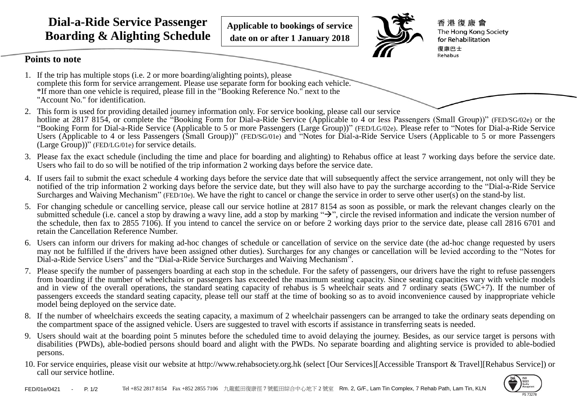**Dial-a-Ride Service Passenger Boarding & Alighting Schedule**

**Applicable to bookings of service date on or after 1 January 2018** 



香港復康會 The Hong Kong Society for Rehabilitation 復康巴士 Rehabus

## **Points to note**

- 1. If the trip has multiple stops (i.e. 2 or more boarding/alighting points), please complete this form for service arrangement. Please use separate form for booking each vehicle. \*If more than one vehicle is required, please fill in the "Booking Reference No." next to the "Account No." for identification.
- 2. This form is used for providing detailed journey information only. For service booking, please call our service hotline at 2817 8154, or complete the "Booking Form for Dial-a-Ride Service (Applicable to 4 or less Passengers (Small Group))" (FED/SG/02e) or the "Booking Form for Dial-a-Ride Service (Applicable to 5 or more Passengers (Large Group))" (FED/LG/02e). Please refer to "Notes for Dial-a-Ride Service Users (Applicable to 4 or less Passengers (Small Group))" (FED/SG/01e) and "Notes for Dial-a-Ride Service Users (Applicable to 5 or more Passengers (Large Group))" (FED/LG/01e) for service details.
- 3. Please fax the exact schedule (including the time and place for boarding and alighting) to Rehabus office at least 7 working days before the service date. Users who fail to do so will be notified of the trip information 2 working days before the service date.
- 4. If users fail to submit the exact schedule 4 working days before the service date that will subsequently affect the service arrangement, not only will they be notified of the trip information 2 working days before the service date, but they will also have to pay the surcharge according to the "Dial-a-Ride Service Surcharges and Waiving Mechanism" (FED/10e). We have the right to cancel or change the service in order to serve other user(s) on the stand-by list.
- 5. For changing schedule or cancelling service, please call our service hotline at 2817 8154 as soon as possible, or mark the relevant changes clearly on the submitted schedule (i.e. cancel a stop by drawing a wavy line, add a stop by marking  $\rightarrow$ ", circle the revised information and indicate the version number of the schedule, then fax to 2855 7106). If you intend to cancel the service on or before 2 working days prior to the service date, please call 2816 6701 and retain the Cancellation Reference Number.
- 6. Users can inform our drivers for making ad-hoc changes of schedule or cancellation of service on the service date (the ad-hoc change requested by users may not be fulfilled if the drivers have been assigned other duties). Surcharges for any changes or cancellation will be levied according to the "Notes for Dial-a-Ride Service Users" and the "Dial-a-Ride Service Surcharges and Waiving Mechanism".
- 7. Please specify the number of passengers boarding at each stop in the schedule. For the safety of passengers, our drivers have the right to refuse passengers from boarding if the number of wheelchairs or passengers has exceeded the maximum seating capacity. Since seating capacities vary with vehicle models and in view of the overall operations, the standard seating capacity of rehabus is 5 wheelchair seats and 7 ordinary seats (5WC+7). If the number of passengers exceeds the standard seating capacity, please tell our staff at the time of booking so as to avoid inconvenience caused by inappropriate vehicle model being deployed on the service date.
- 8. If the number of wheelchairs exceeds the seating capacity, a maximum of 2 wheelchair passengers can be arranged to take the ordinary seats depending on the compartment space of the assigned vehicle. Users are suggested to travel with escorts if assistance in transferring seats is needed.
- 9. Users should wait at the boarding point 5 minutes before the scheduled time to avoid delaying the journey. Besides, as our service target is persons with disabilities (PWDs), able-bodied persons should board and alight with the PWDs. No separate boarding and alighting service is provided to able-bodied persons.
- 10. For service enquiries, please visit our website at http://www.rehabsociety.org.hk (select [Our Services][Accessible Transport & Travel][Rehabus Service]) or call our service hotline.